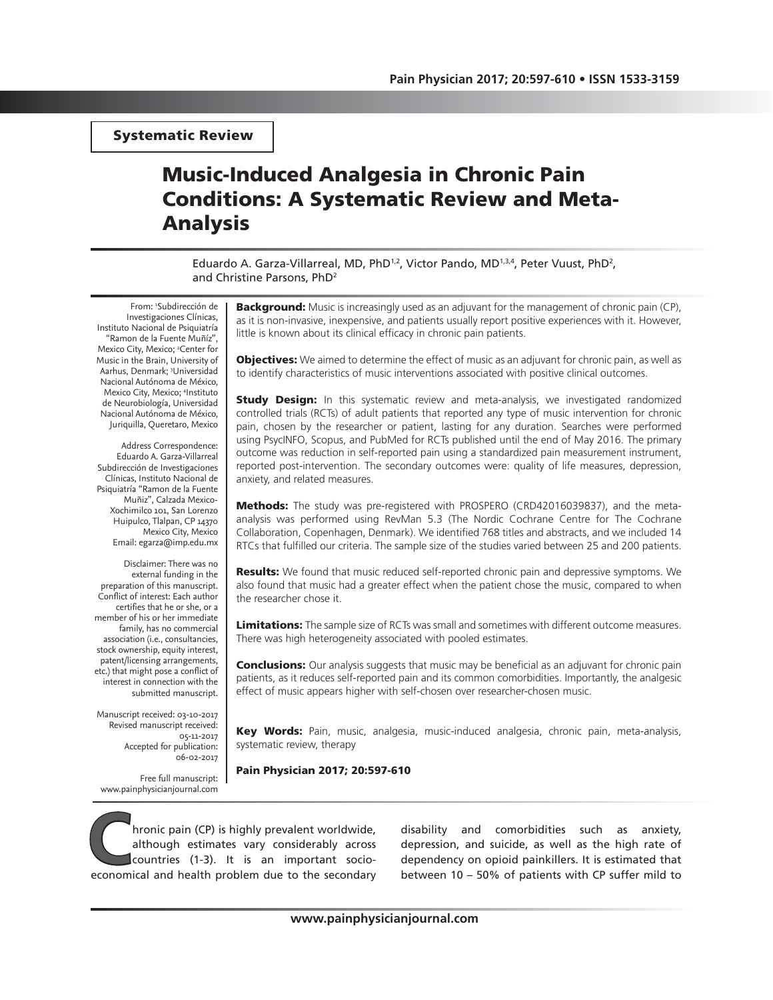Systematic Review

# Music-Induced Analgesia in Chronic Pain Conditions: A Systematic Review and Meta-Analysis

Eduardo A. Garza-Villarreal, MD, PhD<sup>1,2</sup>, Victor Pando, MD<sup>1,3,4</sup>, Peter Vuust, PhD<sup>2</sup>, and Christine Parsons, PhD2

From: 1 Subdirección de Investigaciones Clínicas, Instituto Nacional de Psiquiatría "Ramon de la Fuente Muñíz", Mexico City, Mexico; <sup>2</sup>Center for Music in the Brain, University of Aarhus, Denmark; 3 Universidad Nacional Autónoma de México, Mexico City, Mexico; 4 Instituto de Neurobiología, Universidad Nacional Autónoma de México, Juriquilla, Queretaro, Mexico

Address Correspondence: Eduardo A. Garza-Villarreal Subdirección de Investigaciones Clínicas, Instituto Nacional de Psiquiatría "Ramon de la Fuente Muñiz", Calzada Mexico-Xochimilco 101, San Lorenzo Huipulco, Tlalpan, CP 14370 Mexico City, Mexico Email: egarza@imp.edu.mx

Disclaimer: There was no external funding in the preparation of this manuscript. Conflict of interest: Each author certifies that he or she, or a member of his or her immediate family, has no commercial association (i.e., consultancies, stock ownership, equity interest, patent/licensing arrangements, etc.) that might pose a conflict of interest in connection with the submitted manuscript.

Manuscript received: 03-10-2017 Revised manuscript received: 05-11-2017 Accepted for publication: 06-02-2017

Free full manuscript: www.painphysicianjournal.com

**Background:** Music is increasingly used as an adjuvant for the management of chronic pain (CP), as it is non-invasive, inexpensive, and patients usually report positive experiences with it. However, little is known about its clinical efficacy in chronic pain patients.

**Objectives:** We aimed to determine the effect of music as an adjuvant for chronic pain, as well as to identify characteristics of music interventions associated with positive clinical outcomes.

**Study Design:** In this systematic review and meta-analysis, we investigated randomized controlled trials (RCTs) of adult patients that reported any type of music intervention for chronic pain, chosen by the researcher or patient, lasting for any duration. Searches were performed using PsycINFO, Scopus, and PubMed for RCTs published until the end of May 2016. The primary outcome was reduction in self-reported pain using a standardized pain measurement instrument, reported post-intervention. The secondary outcomes were: quality of life measures, depression, anxiety, and related measures.

Methods: The study was pre-registered with PROSPERO (CRD42016039837), and the metaanalysis was performed using RevMan 5.3 (The Nordic Cochrane Centre for The Cochrane Collaboration, Copenhagen, Denmark). We identified 768 titles and abstracts, and we included 14 RTCs that fulfilled our criteria. The sample size of the studies varied between 25 and 200 patients.

**Results:** We found that music reduced self-reported chronic pain and depressive symptoms. We also found that music had a greater effect when the patient chose the music, compared to when the researcher chose it.

Limitations: The sample size of RCTs was small and sometimes with different outcome measures. There was high heterogeneity associated with pooled estimates.

**Conclusions:** Our analysis suggests that music may be beneficial as an adjuvant for chronic pain patients, as it reduces self-reported pain and its common comorbidities. Importantly, the analgesic effect of music appears higher with self-chosen over researcher-chosen music.

Key Words: Pain, music, analgesia, music-induced analgesia, chronic pain, meta-analysis, systematic review, therapy

Pain Physician 2017; 20:597-610

**Compain (CP)** is highly prevalent worldwide,<br>although estimates vary considerably across<br>countries (1-3). It is an important socio-<br>economical and health problem due to the secondary although estimates vary considerably across countries (1-3). It is an important socioeconomical and health problem due to the secondary

disability and comorbidities such as anxiety, depression, and suicide, as well as the high rate of dependency on opioid painkillers. It is estimated that between 10 – 50% of patients with CP suffer mild to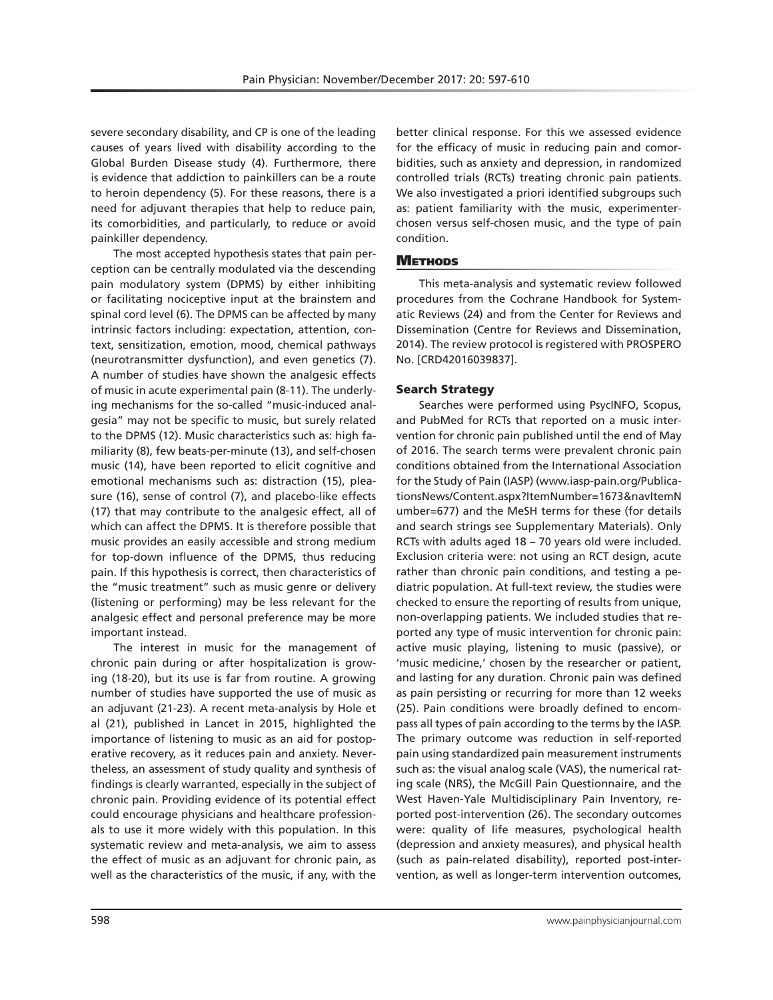severe secondary disability, and CP is one of the leading causes of years lived with disability according to the Global Burden Disease study (4). Furthermore, there is evidence that addiction to painkillers can be a route to heroin dependency (5). For these reasons, there is a need for adjuvant therapies that help to reduce pain, its comorbidities, and particularly, to reduce or avoid painkiller dependency.

The most accepted hypothesis states that pain perception can be centrally modulated via the descending pain modulatory system (DPMS) by either inhibiting or facilitating nociceptive input at the brainstem and spinal cord level (6). The DPMS can be affected by many intrinsic factors including: expectation, attention, context, sensitization, emotion, mood, chemical pathways (neurotransmitter dysfunction), and even genetics (7). A number of studies have shown the analgesic effects of music in acute experimental pain (8-11). The underlying mechanisms for the so-called "music-induced analgesia" may not be specific to music, but surely related to the DPMS (12). Music characteristics such as: high familiarity (8), few beats-per-minute (13), and self-chosen music (14), have been reported to elicit cognitive and emotional mechanisms such as: distraction (15), pleasure (16), sense of control (7), and placebo-like effects (17) that may contribute to the analgesic effect, all of which can affect the DPMS. It is therefore possible that music provides an easily accessible and strong medium for top-down influence of the DPMS, thus reducing pain. If this hypothesis is correct, then characteristics of the "music treatment" such as music genre or delivery (listening or performing) may be less relevant for the analgesic effect and personal preference may be more important instead.

The interest in music for the management of chronic pain during or after hospitalization is growing (18-20), but its use is far from routine. A growing number of studies have supported the use of music as an adjuvant (21-23). A recent meta-analysis by Hole et al (21), published in Lancet in 2015, highlighted the importance of listening to music as an aid for postoperative recovery, as it reduces pain and anxiety. Nevertheless, an assessment of study quality and synthesis of findings is clearly warranted, especially in the subject of chronic pain. Providing evidence of its potential effect could encourage physicians and healthcare professionals to use it more widely with this population. In this systematic review and meta-analysis, we aim to assess the effect of music as an adjuvant for chronic pain, as well as the characteristics of the music, if any, with the

better clinical response. For this we assessed evidence for the efficacy of music in reducing pain and comorbidities, such as anxiety and depression, in randomized controlled trials (RCTs) treating chronic pain patients. We also investigated a priori identified subgroups such as: patient familiarity with the music, experimenterchosen versus self-chosen music, and the type of pain condition.

# **METHODS**

This meta-analysis and systematic review followed procedures from the Cochrane Handbook for Systematic Reviews (24) and from the Center for Reviews and Dissemination (Centre for Reviews and Dissemination, 2014). The review protocol is registered with PROSPERO No. [CRD42016039837].

# Search Strategy

Searches were performed using PsycINFO, Scopus, and PubMed for RCTs that reported on a music intervention for chronic pain published until the end of May of 2016. The search terms were prevalent chronic pain conditions obtained from the International Association for the Study of Pain (IASP) (www.iasp-pain.org/PublicationsNews/Content.aspx?ItemNumber=1673&navItemN umber=677) and the MeSH terms for these (for details and search strings see Supplementary Materials). Only RCTs with adults aged 18 – 70 years old were included. Exclusion criteria were: not using an RCT design, acute rather than chronic pain conditions, and testing a pediatric population. At full-text review, the studies were checked to ensure the reporting of results from unique, non-overlapping patients. We included studies that reported any type of music intervention for chronic pain: active music playing, listening to music (passive), or 'music medicine,' chosen by the researcher or patient, and lasting for any duration. Chronic pain was defined as pain persisting or recurring for more than 12 weeks (25). Pain conditions were broadly defined to encompass all types of pain according to the terms by the IASP. The primary outcome was reduction in self-reported pain using standardized pain measurement instruments such as: the visual analog scale (VAS), the numerical rating scale (NRS), the McGill Pain Questionnaire, and the West Haven-Yale Multidisciplinary Pain Inventory, reported post-intervention (26). The secondary outcomes were: quality of life measures, psychological health (depression and anxiety measures), and physical health (such as pain-related disability), reported post-intervention, as well as longer-term intervention outcomes,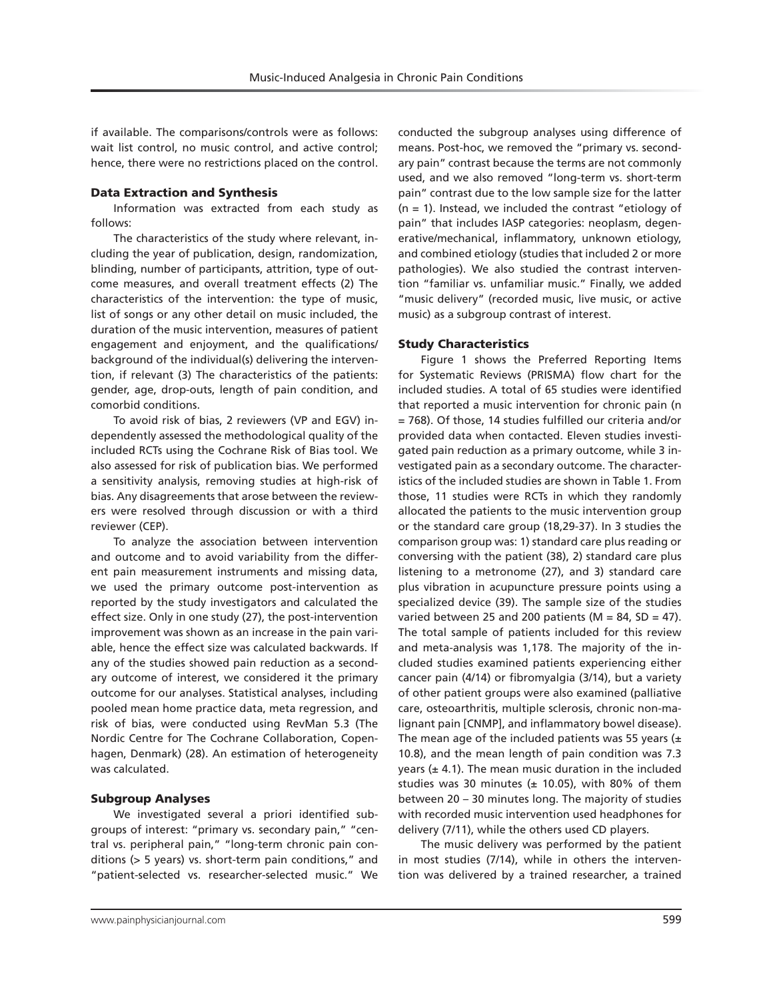if available. The comparisons/controls were as follows: wait list control, no music control, and active control; hence, there were no restrictions placed on the control.

#### Data Extraction and Synthesis

Information was extracted from each study as follows:

The characteristics of the study where relevant, including the year of publication, design, randomization, blinding, number of participants, attrition, type of outcome measures, and overall treatment effects (2) The characteristics of the intervention: the type of music, list of songs or any other detail on music included, the duration of the music intervention, measures of patient engagement and enjoyment, and the qualifications/ background of the individual(s) delivering the intervention, if relevant (3) The characteristics of the patients: gender, age, drop-outs, length of pain condition, and comorbid conditions.

To avoid risk of bias, 2 reviewers (VP and EGV) independently assessed the methodological quality of the included RCTs using the Cochrane Risk of Bias tool. We also assessed for risk of publication bias. We performed a sensitivity analysis, removing studies at high-risk of bias. Any disagreements that arose between the reviewers were resolved through discussion or with a third reviewer (CEP).

To analyze the association between intervention and outcome and to avoid variability from the different pain measurement instruments and missing data, we used the primary outcome post-intervention as reported by the study investigators and calculated the effect size. Only in one study (27), the post-intervention improvement was shown as an increase in the pain variable, hence the effect size was calculated backwards. If any of the studies showed pain reduction as a secondary outcome of interest, we considered it the primary outcome for our analyses. Statistical analyses, including pooled mean home practice data, meta regression, and risk of bias, were conducted using RevMan 5.3 (The Nordic Centre for The Cochrane Collaboration, Copenhagen, Denmark) (28). An estimation of heterogeneity was calculated.

#### Subgroup Analyses

We investigated several a priori identified subgroups of interest: "primary vs. secondary pain," "central vs. peripheral pain," "long-term chronic pain conditions (> 5 years) vs. short-term pain conditions," and "patient-selected vs. researcher-selected music." We conducted the subgroup analyses using difference of means. Post-hoc, we removed the "primary vs. secondary pain" contrast because the terms are not commonly used, and we also removed "long-term vs. short-term pain" contrast due to the low sample size for the latter (n = 1). Instead, we included the contrast "etiology of pain" that includes IASP categories: neoplasm, degenerative/mechanical, inflammatory, unknown etiology, and combined etiology (studies that included 2 or more pathologies). We also studied the contrast intervention "familiar vs. unfamiliar music." Finally, we added "music delivery" (recorded music, live music, or active music) as a subgroup contrast of interest.

### Study Characteristics

Figure 1 shows the Preferred Reporting Items for Systematic Reviews (PRISMA) flow chart for the included studies. A total of 65 studies were identified that reported a music intervention for chronic pain (n = 768). Of those, 14 studies fulfilled our criteria and/or provided data when contacted. Eleven studies investigated pain reduction as a primary outcome, while 3 investigated pain as a secondary outcome. The characteristics of the included studies are shown in Table 1. From those, 11 studies were RCTs in which they randomly allocated the patients to the music intervention group or the standard care group (18,29-37). In 3 studies the comparison group was: 1) standard care plus reading or conversing with the patient (38), 2) standard care plus listening to a metronome (27), and 3) standard care plus vibration in acupuncture pressure points using a specialized device (39). The sample size of the studies varied between 25 and 200 patients ( $M = 84$ , SD = 47). The total sample of patients included for this review and meta-analysis was 1,178. The majority of the included studies examined patients experiencing either cancer pain (4/14) or fibromyalgia (3/14), but a variety of other patient groups were also examined (palliative care, osteoarthritis, multiple sclerosis, chronic non-malignant pain [CNMP], and inflammatory bowel disease). The mean age of the included patients was 55 years  $(\pm)$ 10.8), and the mean length of pain condition was 7.3 years ( $\pm$  4.1). The mean music duration in the included studies was 30 minutes ( $\pm$  10.05), with 80% of them between 20 – 30 minutes long. The majority of studies with recorded music intervention used headphones for delivery (7/11), while the others used CD players.

The music delivery was performed by the patient in most studies (7/14), while in others the intervention was delivered by a trained researcher, a trained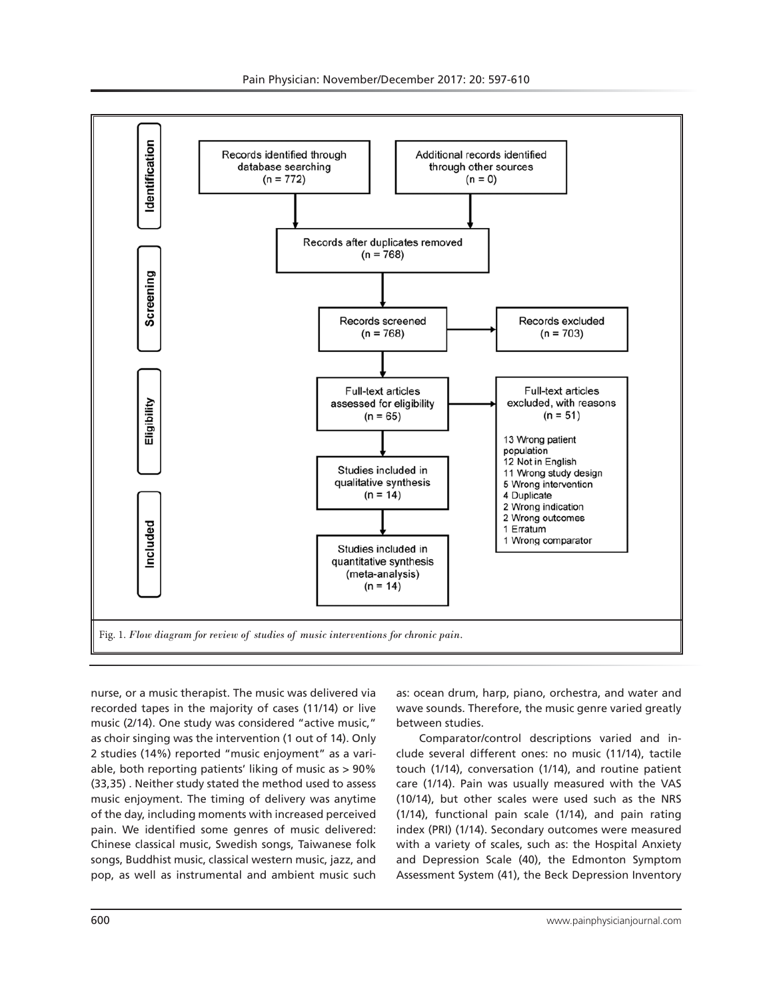

nurse, or a music therapist. The music was delivered via recorded tapes in the majority of cases (11/14) or live music (2/14). One study was considered "active music," as choir singing was the intervention (1 out of 14). Only 2 studies (14%) reported "music enjoyment" as a variable, both reporting patients' liking of music as > 90% (33,35) . Neither study stated the method used to assess music enjoyment. The timing of delivery was anytime of the day, including moments with increased perceived pain. We identified some genres of music delivered: Chinese classical music, Swedish songs, Taiwanese folk songs, Buddhist music, classical western music, jazz, and pop, as well as instrumental and ambient music such

as: ocean drum, harp, piano, orchestra, and water and wave sounds. Therefore, the music genre varied greatly between studies.

Comparator/control descriptions varied and include several different ones: no music (11/14), tactile touch (1/14), conversation (1/14), and routine patient care (1/14). Pain was usually measured with the VAS (10/14), but other scales were used such as the NRS (1/14), functional pain scale (1/14), and pain rating index (PRI) (1/14). Secondary outcomes were measured with a variety of scales, such as: the Hospital Anxiety and Depression Scale (40), the Edmonton Symptom Assessment System (41), the Beck Depression Inventory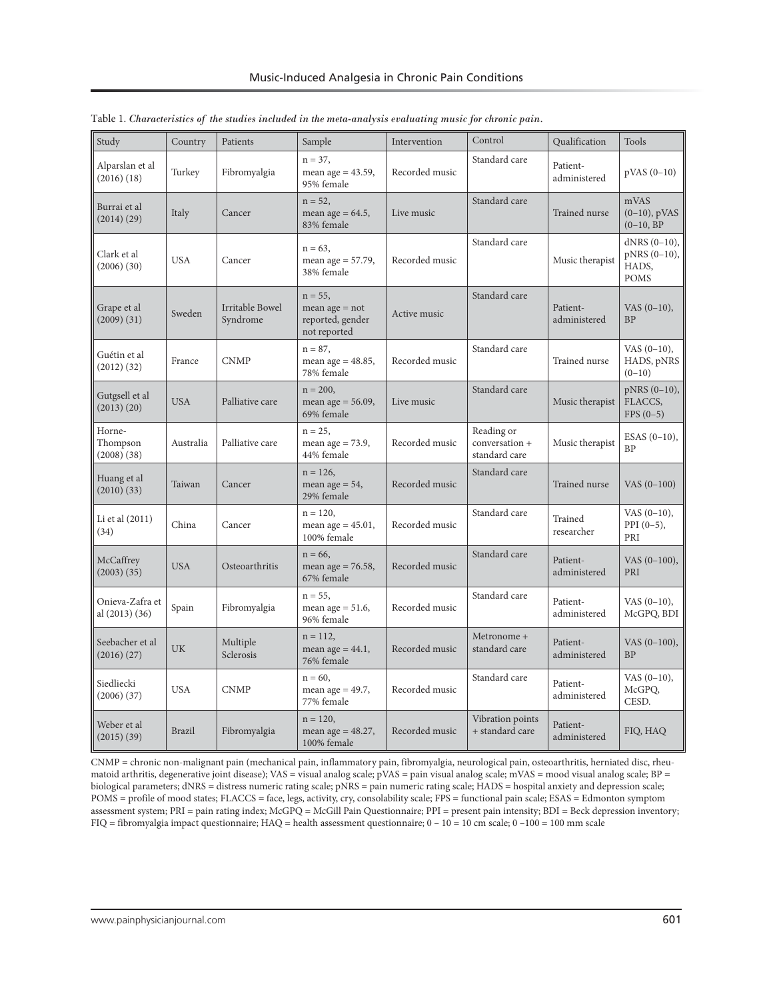| Study                                 | Country       | Patients                    | Sample                                                             | Intervention   | Control                                       | Qualification            | Tools                                                   |
|---------------------------------------|---------------|-----------------------------|--------------------------------------------------------------------|----------------|-----------------------------------------------|--------------------------|---------------------------------------------------------|
| Alparslan et al<br>(2016)(18)         | Turkey        | Fibromyalgia                | $n = 37$ ,<br>mean age = $43.59$ ,<br>95% female                   | Recorded music | Standard care                                 | Patient-<br>administered | $pVAS(0-10)$                                            |
| Burrai et al<br>(2014)(29)            | Italy         | Cancer                      | $n = 52$ ,<br>mean age = $64.5$ ,<br>83% female                    | Live music     | Standard care                                 | Trained nurse            | mVAS<br>$(0-10)$ , pVAS<br>$(0-10, BP)$                 |
| Clark et al<br>(2006)(30)             | <b>USA</b>    | Cancer                      | $n = 63$ ,<br>mean age = $57.79$ ,<br>38% female                   | Recorded music | Standard care                                 | Music therapist          | $dNRS(0-10),$<br>$pNRS(0-10)$ ,<br>HADS,<br><b>POMS</b> |
| Grape et al<br>(2009)(31)             | Sweden        | Irritable Bowel<br>Syndrome | $n = 55$ ,<br>mean $age = not$<br>reported, gender<br>not reported | Active music   | Standard care                                 | Patient-<br>administered | $VAS (0-10),$<br><b>BP</b>                              |
| Guétin et al<br>(2012) (32)           | France        | <b>CNMP</b>                 | $n = 87$ ,<br>mean age $= 48.85$ ,<br>78% female                   | Recorded music | Standard care                                 | <b>Trained nurse</b>     | VAS $(0-10)$ ,<br>HADS, pNRS<br>$(0-10)$                |
| Gutgsell et al<br>(2013)(20)          | <b>USA</b>    | Palliative care             | $n = 200$ ,<br>mean age $= 56.09$ ,<br>69% female                  | Live music     | Standard care                                 | Music therapist          | $pNRS(0-10)$ ,<br>FLACCS,<br>$FPS (0-5)$                |
| Horne-<br>Thompson<br>(2008)(38)      | Australia     | Palliative care             | $n = 25$ ,<br>mean age $= 73.9$ ,<br>44% female                    | Recorded music | Reading or<br>conversation +<br>standard care | Music therapist          | $ESAS (0-10),$<br><b>BP</b>                             |
| Huang et al<br>(2010)(33)             | Taiwan        | Cancer                      | $n = 126$ ,<br>mean age $= 54$ ,<br>29% female                     | Recorded music | Standard care                                 | Trained nurse            | VAS (0-100)                                             |
| Li et al (2011)<br>(34)               | China         | Cancer                      | $n = 120$ ,<br>mean age $= 45.01$ ,<br>100% female                 | Recorded music | Standard care                                 | Trained<br>researcher    | $VAS (0-10),$<br>$PPI(0-5)$ ,<br>PRI                    |
| McCaffrey<br>$(2003)$ $(35)$          | <b>USA</b>    | Osteoarthritis              | $n = 66$ ,<br>mean age = $76.58$ ,<br>67% female                   | Recorded music | Standard care                                 | Patient-<br>administered | VAS (0-100),<br>PRI                                     |
| Onieva-Zafra et<br>al $(2013)$ $(36)$ | Spain         | Fibromyalgia                | $n = 55$ ,<br>mean age $= 51.6$ ,<br>96% female                    | Recorded music | Standard care                                 | Patient-<br>administered | $VAS (0-10),$<br>McGPQ, BDI                             |
| Seebacher et al<br>(2016)(27)         | UK            | Multiple<br>Sclerosis       | $n = 112$ ,<br>mean age $= 44.1$ ,<br>76% female                   | Recorded music | Metronome +<br>standard care                  | Patient-<br>administered | $VAS(0-100),$<br><b>BP</b>                              |
| Siedliecki<br>(2006)(37)              | <b>USA</b>    | <b>CNMP</b>                 | $n = 60$ ,<br>mean age = $49.7$ ,<br>77% female                    | Recorded music | Standard care                                 | Patient-<br>administered | $VAS (0-10)$ ,<br>McGPQ,<br>CESD.                       |
| Weber et al<br>(2015)(39)             | <b>Brazil</b> | Fibromyalgia                | $n = 120$ ,<br>mean age = $48.27$ ,<br>100% female                 | Recorded music | Vibration points<br>+ standard care           | Patient-<br>administered | FIQ, HAQ                                                |

Table 1. *Characteristics of the studies included in the meta-analysis evaluating music for chronic pain.*

CNMP = chronic non-malignant pain (mechanical pain, inflammatory pain, fibromyalgia, neurological pain, osteoarthritis, herniated disc, rheumatoid arthritis, degenerative joint disease); VAS = visual analog scale; pVAS = pain visual analog scale; mVAS = mood visual analog scale; BP = biological parameters; dNRS = distress numeric rating scale; pNRS = pain numeric rating scale; HADS = hospital anxiety and depression scale; POMS = profile of mood states; FLACCS = face, legs, activity, cry, consolability scale; FPS = functional pain scale; ESAS = Edmonton symptom assessment system; PRI = pain rating index; McGPQ = McGill Pain Questionnaire; PPI = present pain intensity; BDI = Beck depression inventory; FIQ = fibromyalgia impact questionnaire; HAQ = health assessment questionnaire; 0 – 10 = 10 cm scale; 0 –100 = 100 mm scale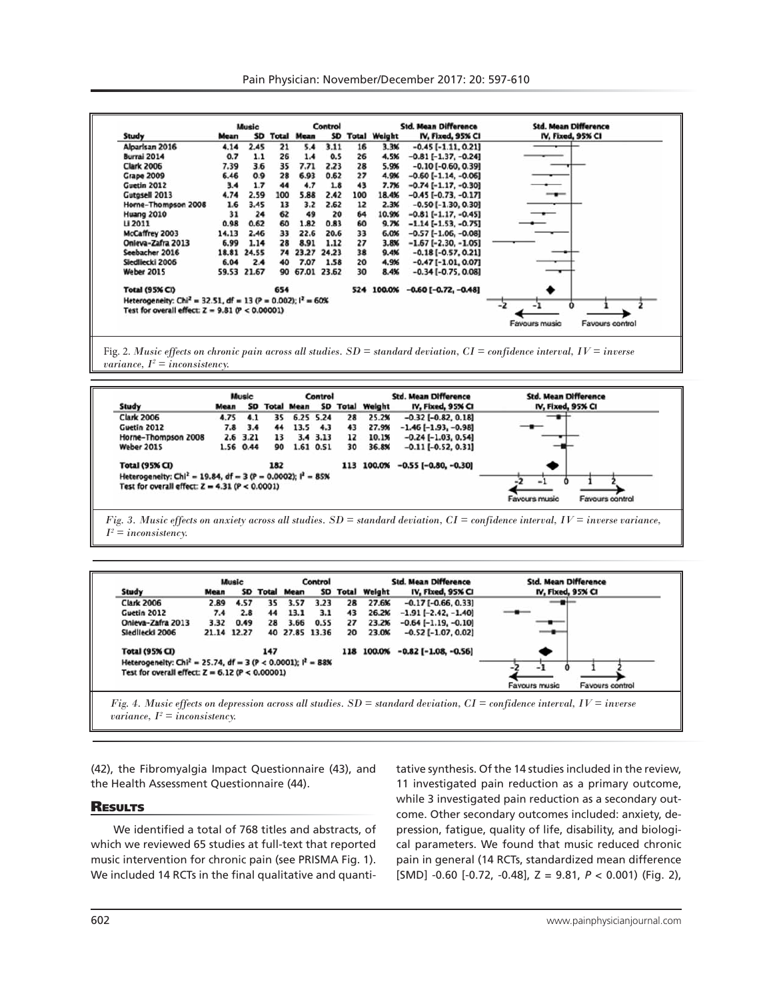|                                                                                                                                 |       | Music       |     |                      | Control |     |                 | <b>Std. Mean Difference</b>   | <b>Std. Mean Difference</b> |
|---------------------------------------------------------------------------------------------------------------------------------|-------|-------------|-----|----------------------|---------|-----|-----------------|-------------------------------|-----------------------------|
| Study                                                                                                                           | Mean  |             |     | <b>SD Total Mean</b> |         |     | SD Total Weight | IV, Fixed, 95% CI             | IV, Fixed, 95% CI           |
| Alparisan 2016                                                                                                                  | 4.14  | 2.45        | 21  | 5.4                  | 3.11    | 16  | 3.3%            | $-0.45$ [ $-1.11$ , 0.21]     |                             |
| Burrai 2014                                                                                                                     | 0.7   | 1.1         | 26  | 1.4                  | 0.5     | 26  | 4.5%            | $-0.81[-1.37, -0.24]$         |                             |
| <b>Clark 2006</b>                                                                                                               | 7.39  | 3.6         | 35  | 7.71                 | 2.23    | 28  | 5.9%            | $-0.10$ [ $-0.60$ , 0.39]     |                             |
| <b>Grape 2009</b>                                                                                                               | 6.46  | 0.9         | 28  | 6.93                 | 0.62    | 27  | 4.9%            | $-0.60$ [ $-1.14$ , $-0.06$ ] |                             |
| Guetin 2012                                                                                                                     | 3.4   | 1.7         | 44  | 4.7                  | 1.8     | 43  | 7.7%            | $-0.74[-1.17, -0.30]$         |                             |
| Gutgsell 2013                                                                                                                   | 4.74  | 2.59        | 100 | 5.88                 | 2.42    | 100 | 18.4%           | $-0.45$ [ $-0.73, -0.17$ ]    | ---                         |
| Horne-Thompson 2008                                                                                                             | 1.6   | 3.45        | 13  | 3.2                  | 2.62    | 12  | 2.3%            | $-0.50$ [ $-1.30$ , 0.30]     |                             |
| <b>Huang 2010</b>                                                                                                               | 31    | 24          | 62  | 49                   | 20      | 64  | 10.9%           | $-0.81$ [ $-1.17, -0.45$ ]    |                             |
| <b>LI 2011</b>                                                                                                                  | 0.98  | 0.62        | 60  | 1.82                 | 0.83    | 60  | 9.7%            | $-1.14[-1.53, -0.75]$         |                             |
| McCaffrey 2003                                                                                                                  | 14.13 | 2.46        | 33  | 22.6                 | 20.6    | 33  | 6.0%            | $-0.57$ [ $-1.06$ , $-0.08$ ] |                             |
| Onleva-Zafra 2013                                                                                                               | 6.99  | 1.14        | 28  | 8.91                 | 1.12    | 27  | 3.8%            | $-1.67$ [-2.30, -1.05]        |                             |
| Seebacher 2016                                                                                                                  |       | 18.81 24.55 | 74  | 23.27                | 24.23   | 38  | 9.4%            | $-0.18[-0.57, 0.21]$          |                             |
| Siedliecki 2006                                                                                                                 | 6.04  | 2.4         | 40  | 7.07                 | 1.58    | 20  | 4.9%            | $-0.47[-1.01, 0.07]$          |                             |
| Weber 2015                                                                                                                      |       | 59.53 21.67 | 90  | 67.01 23.62          |         | 30  | 8.4%            | $-0.34$ [ $-0.75$ , 0.08]     |                             |
| <b>Total (95% CI)</b>                                                                                                           |       |             | 654 |                      |         |     | 524 100.0%      | $-0.60$ [ $-0.72, -0.48$ ]    |                             |
| Heterogeneity: Chi <sup>2</sup> = 32.51, df = 13 (P = 0.002); $1^2 = 60\%$<br>Test for overall effect: $Z = 9.81$ (P < 0.00001) |       |             |     |                      |         |     |                 |                               | -1<br>-2                    |

Fig. 2. *Music effects on chronic pain across all studies. SD = standard deviation, CI = confidence interval, IV = inverse variance,*  $I^2 =$  *inconsistency.* 





(42), the Fibromyalgia Impact Questionnaire (43), and the Health Assessment Questionnaire (44).

### **RESULTS**

We identified a total of 768 titles and abstracts, of which we reviewed 65 studies at full-text that reported music intervention for chronic pain (see PRISMA Fig. 1). We included 14 RCTs in the final qualitative and quanti-

tative synthesis. Of the 14 studies included in the review, 11 investigated pain reduction as a primary outcome, while 3 investigated pain reduction as a secondary outcome. Other secondary outcomes included: anxiety, depression, fatigue, quality of life, disability, and biological parameters. We found that music reduced chronic pain in general (14 RCTs, standardized mean difference [SMD] -0.60 [-0.72, -0.48], Z = 9.81, *P* < 0.001) (Fig. 2),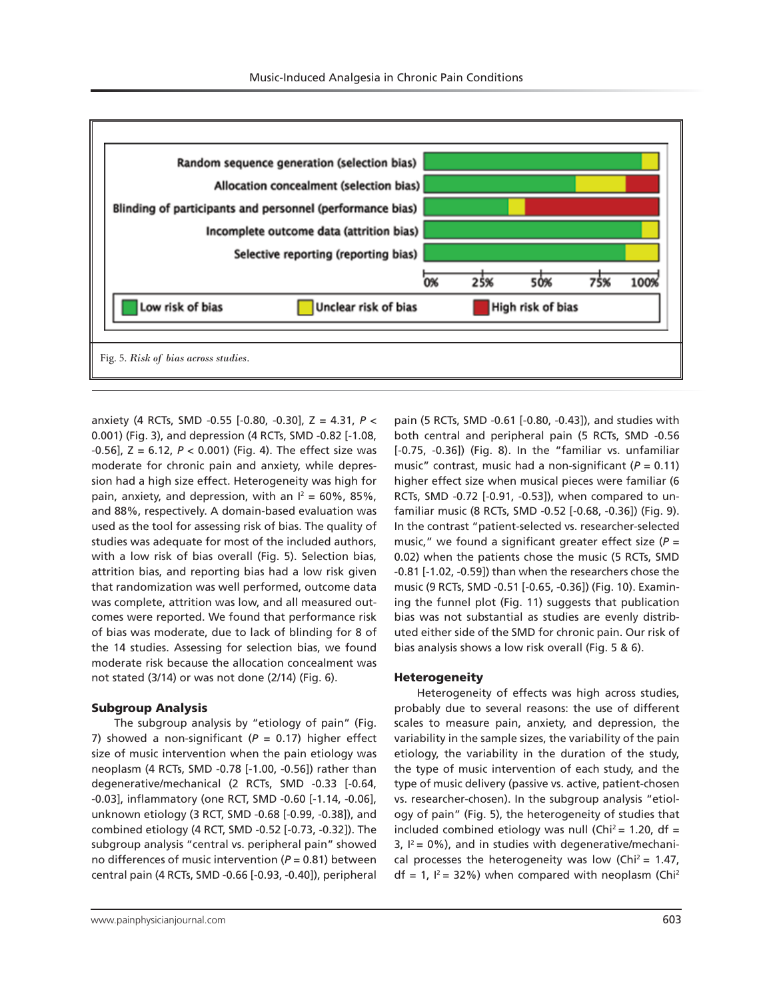

anxiety (4 RCTs, SMD -0.55 [-0.80, -0.30], Z = 4.31, *P* < 0.001) (Fig. 3), and depression (4 RCTs, SMD -0.82 [-1.08, -0.56], Z = 6.12, *P* < 0.001) (Fig. 4). The effect size was moderate for chronic pain and anxiety, while depression had a high size effect. Heterogeneity was high for pain, anxiety, and depression, with an  $I^2 = 60\%$ , 85%, and 88%, respectively. A domain-based evaluation was used as the tool for assessing risk of bias. The quality of studies was adequate for most of the included authors, with a low risk of bias overall (Fig. 5). Selection bias, attrition bias, and reporting bias had a low risk given that randomization was well performed, outcome data was complete, attrition was low, and all measured outcomes were reported. We found that performance risk of bias was moderate, due to lack of blinding for 8 of the 14 studies. Assessing for selection bias, we found moderate risk because the allocation concealment was not stated (3/14) or was not done (2/14) (Fig. 6).

# Subgroup Analysis

The subgroup analysis by "etiology of pain" (Fig. 7) showed a non-significant (*P* = 0.17) higher effect size of music intervention when the pain etiology was neoplasm (4 RCTs, SMD -0.78 [-1.00, -0.56]) rather than degenerative/mechanical (2 RCTs, SMD -0.33 [-0.64, -0.03], inflammatory (one RCT, SMD -0.60 [-1.14, -0.06], unknown etiology (3 RCT, SMD -0.68 [-0.99, -0.38]), and combined etiology (4 RCT, SMD -0.52 [-0.73, -0.32]). The subgroup analysis "central vs. peripheral pain" showed no differences of music intervention (*P* = 0.81) between central pain (4 RCTs, SMD -0.66 [-0.93, -0.40]), peripheral

pain (5 RCTs, SMD -0.61 [-0.80, -0.43]), and studies with both central and peripheral pain (5 RCTs, SMD -0.56 [-0.75, -0.36]) (Fig. 8). In the "familiar vs. unfamiliar music" contrast, music had a non-significant (*P* = 0.11) higher effect size when musical pieces were familiar (6 RCTs, SMD -0.72 [-0.91, -0.53]), when compared to unfamiliar music (8 RCTs, SMD -0.52 [-0.68, -0.36]) (Fig. 9). In the contrast "patient-selected vs. researcher-selected music," we found a significant greater effect size (*P* = 0.02) when the patients chose the music (5 RCTs, SMD -0.81 [-1.02, -0.59]) than when the researchers chose the music (9 RCTs, SMD -0.51 [-0.65, -0.36]) (Fig. 10). Examining the funnel plot (Fig. 11) suggests that publication bias was not substantial as studies are evenly distributed either side of the SMD for chronic pain. Our risk of bias analysis shows a low risk overall (Fig. 5 & 6).

#### **Heterogeneity**

Heterogeneity of effects was high across studies, probably due to several reasons: the use of different scales to measure pain, anxiety, and depression, the variability in the sample sizes, the variability of the pain etiology, the variability in the duration of the study, the type of music intervention of each study, and the type of music delivery (passive vs. active, patient-chosen vs. researcher-chosen). In the subgroup analysis "etiology of pain" (Fig. 5), the heterogeneity of studies that included combined etiology was null (Chi<sup>2</sup> = 1.20, df =  $3, l^2 = 0\%$ ), and in studies with degenerative/mechanical processes the heterogeneity was low (Chi<sup>2</sup> = 1.47,  $df = 1$ ,  $I^2 = 32\%$ ) when compared with neoplasm (Chi<sup>2</sup>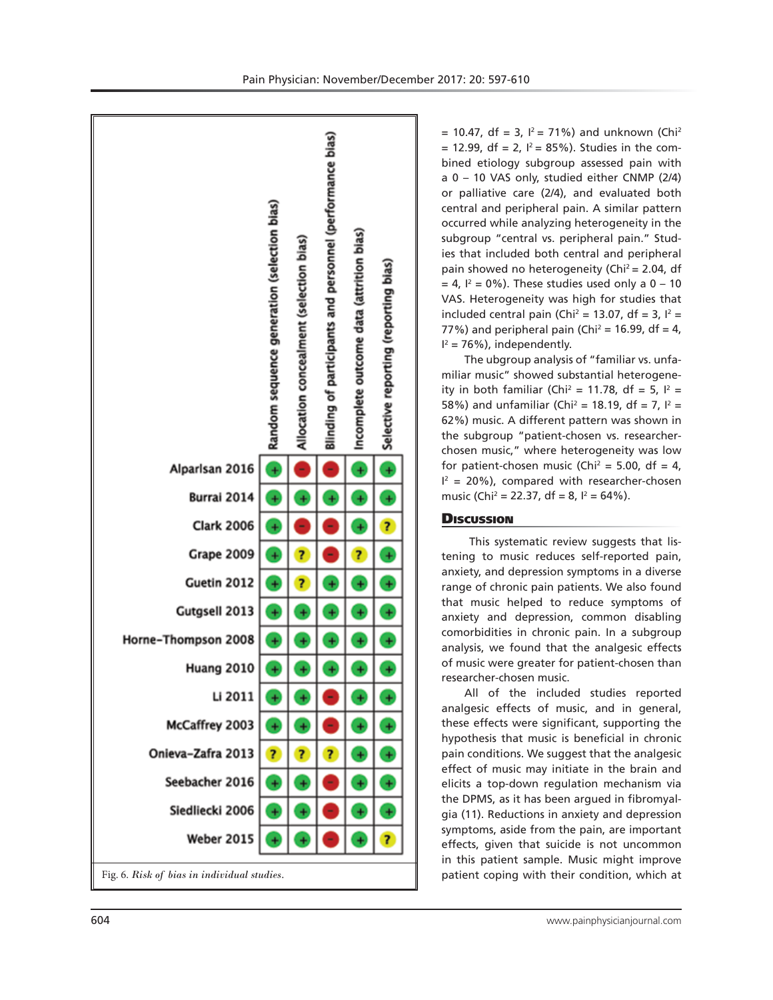

 $= 10.47$ , df = 3,  $I^2 = 71\%$ ) and unknown (Chi<sup>2</sup>  $= 12.99$ , df = 2,  $I^2 = 85\%$ ). Studies in the combined etiology subgroup assessed pain with a 0 – 10 VAS only, studied either CNMP (2/4) or palliative care (2/4), and evaluated both central and peripheral pain. A similar pattern occurred while analyzing heterogeneity in the subgroup "central vs. peripheral pain." Studies that included both central and peripheral pain showed no heterogeneity (Chi<sup>2</sup> = 2.04, df  $= 4$ ,  $I^2 = 0\%$ ). These studies used only a 0 – 10 VAS. Heterogeneity was high for studies that included central pain (Chi<sup>2</sup> = 13.07, df = 3,  $I^2$  = 77%) and peripheral pain (Chi<sup>2</sup> = 16.99, df = 4,  $I^2 = 76\%$ ), independently.

The ubgroup analysis of "familiar vs. unfamiliar music" showed substantial heterogeneity in both familiar (Chi<sup>2</sup> = 11.78, df = 5,  $I^2$  = 58%) and unfamiliar (Chi<sup>2</sup> = 18.19, df = 7,  $I^2$  = 62%) music. A different pattern was shown in the subgroup "patient-chosen vs. researcherchosen music," where heterogeneity was low for patient-chosen music (Chi<sup>2</sup> = 5.00, df = 4,  $I^2$  = 20%), compared with researcher-chosen music (Chi<sup>2</sup> = 22.37, df = 8, l<sup>2</sup> = 64%).

# **Discussion**

 This systematic review suggests that listening to music reduces self-reported pain, anxiety, and depression symptoms in a diverse range of chronic pain patients. We also found that music helped to reduce symptoms of anxiety and depression, common disabling comorbidities in chronic pain. In a subgroup analysis, we found that the analgesic effects of music were greater for patient-chosen than researcher-chosen music.

All of the included studies reported analgesic effects of music, and in general, these effects were significant, supporting the hypothesis that music is beneficial in chronic pain conditions. We suggest that the analgesic effect of music may initiate in the brain and elicits a top-down regulation mechanism via the DPMS, as it has been argued in fibromyalgia (11). Reductions in anxiety and depression symptoms, aside from the pain, are important effects, given that suicide is not uncommon in this patient sample. Music might improve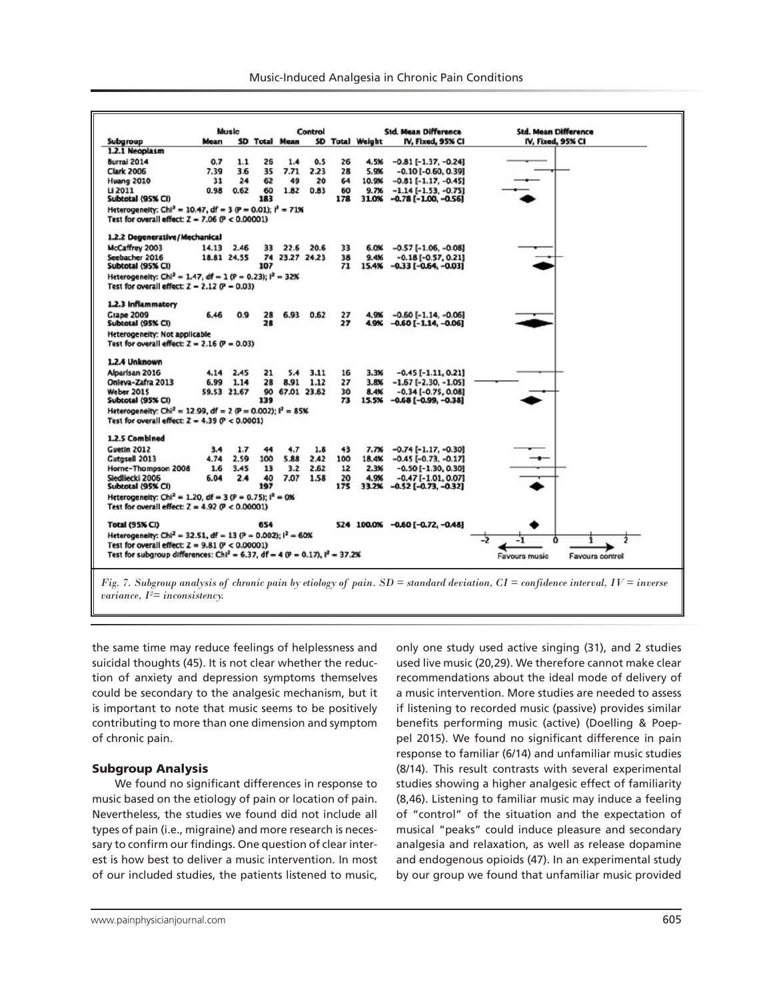|                                                                                                   |             | Music       |     |                      | Control |     |                 | <b>Std. Mean Difference</b>     | <b>Std. Mean Difference</b>      |
|---------------------------------------------------------------------------------------------------|-------------|-------------|-----|----------------------|---------|-----|-----------------|---------------------------------|----------------------------------|
| Subgroup                                                                                          | Mean        |             |     | <b>SD Total Mean</b> |         |     | SD Total Weight | IV, Fixed, 95% CI               | IV, Fixed, 95% CI                |
| 1.2.1 Neoplasm                                                                                    |             |             |     |                      |         |     |                 |                                 |                                  |
| Burrai 2014                                                                                       | 0.7         | 1.1         | 26  | 1.4                  | 0.5     | 26  | 4.5%            | $-0.81$ [ $-1.37, -0.24$ ]      |                                  |
| <b>Clark 2006</b>                                                                                 | 7.39        | 3.6         | 35  | 7.71                 | 2.23    | 28  | 5.9%            | $-0.10$ [ $-0.60, 0.39$ ]       |                                  |
| <b>Huang 2010</b>                                                                                 | 31          | 24          | 62  | 49                   | 20      | 64  | 10.9%           | $-0.81$ [ $-1.17, -0.45$ ]      |                                  |
| Li 2011                                                                                           | 0.98        | 0.62        | 60  | 1.82                 | 0.83    | 60  | 9.7%            | $-1.14[-1.53, -0.75]$           |                                  |
| Subtotal (95% CI)                                                                                 |             |             | 183 |                      |         | 178 | 31.0%           | $-0.78$ [ $-1.00, -0.56$ ]      |                                  |
| Heterogeneity: Chi <sup>2</sup> = 10.47, df = 3 (P = 0.01); $I^2 = 71\%$                          |             |             |     |                      |         |     |                 |                                 |                                  |
| Test for overall effect: $Z = 7.06$ (P < 0.00001)                                                 |             |             |     |                      |         |     |                 |                                 |                                  |
| 1.2.2 Degenerative/Mechanical                                                                     |             |             |     |                      |         |     |                 |                                 |                                  |
| McCaffrey 2003                                                                                    | 14.13 2.46  |             | 33  | 22.6                 | 20.6    | 33  | 6.0%            | $-0.57[-1.06, -0.08]$           |                                  |
| Seebacher 2016                                                                                    |             | 18.81 24.55 |     | 74 23.27 24.23       |         | 38  | 9.4%            | $-0.18[-0.57, 0.21]$            |                                  |
| Subtotal (95% CI)                                                                                 |             |             | 107 |                      |         | 71  | 15.4%           | $-0.33$ [ $-0.64, -0.03$ ]      |                                  |
|                                                                                                   |             |             |     |                      |         |     |                 |                                 |                                  |
| Heterogeneity: Chi <sup>2</sup> = 1.47, df = 1 (P = 0.23); l <sup>2</sup> = 32%                   |             |             |     |                      |         |     |                 |                                 |                                  |
| Test for overall effect: $Z = 2.12$ (P = 0.03)                                                    |             |             |     |                      |         |     |                 |                                 |                                  |
| 1.2.3 Inflammatory                                                                                |             |             |     |                      |         |     |                 |                                 |                                  |
| <b>Grape 2009</b>                                                                                 | 6.46        | 0.9         | 28  | 6.93                 | 0.62    | 27  | 4.9%            | $-0.60$ [ $-1.14$ , $-0.06$ ]   |                                  |
| Subtotal (95% CI)                                                                                 |             |             | 28  |                      |         | 27  | 4.9%            | $-0.60$ [ $-1.14$ , $-0.06$ ]   |                                  |
| Heterogeneity: Not applicable                                                                     |             |             |     |                      |         |     |                 |                                 |                                  |
| Test for overall effect: $Z = 2.16$ (P = 0.03)                                                    |             |             |     |                      |         |     |                 |                                 |                                  |
| 1.2.4 Unknown                                                                                     |             |             |     |                      |         |     |                 |                                 |                                  |
| Alparisan 2016                                                                                    | 4.14        | 2.45        | 21  | 5.4                  | 3.11    | 16  | 3.3%            | $-0.45$ [ $-1.11, 0.21$ ]       |                                  |
| Onleva-Zafra 2013                                                                                 | 6.99        | 1.14        | 28  | 8.91                 | 1.12    | 27  | 3.8%            | $-1.67$ [ $-2.30, -1.05$ ]      |                                  |
| Weber 2015                                                                                        | 59.53 21.67 |             | 90  | 67.01 23.62          |         | 30  | 8.4%            | $-0.34$ [ $-0.75$ , 0.08]       |                                  |
| Subtotal (95% CI)                                                                                 |             |             | 139 |                      |         | 73  | 15.5%           | $-0.68$ [ $-0.99, -0.38$ ]      |                                  |
| Heterogeneity: Chi <sup>2</sup> = 12.99, df = 2 (P = 0.002); $I^2 = 85\%$                         |             |             |     |                      |         |     |                 |                                 |                                  |
| Test for overall effect: $Z = 4.39$ ( $P < 0.0001$ )                                              |             |             |     |                      |         |     |                 |                                 |                                  |
| 1.2.5 Combined                                                                                    |             |             |     |                      |         |     |                 |                                 |                                  |
| Guetin 2012                                                                                       | 3.4         | 1.7         | 44  | 4.7                  | 1.8     | 43  | 7.7%            | $-0.74$ [ $-1.17, -0.30$ ]      |                                  |
| Gutgsell 2013                                                                                     | 4.74        | 2.59        | 100 | 5.88                 | 2.42    | 100 | 18.4%           | $-0.45[-0.73, -0.17]$           |                                  |
| Horne-Thompson 2008                                                                               | 1.6         | 3.45        | 13  | 3.2                  | 2.62    | 12  | 2.3%            | $-0.50$ [ $-1.30$ , 0.30]       |                                  |
| Siedliecki 2006                                                                                   | 6.04        | 2.4         | 40  | 7.07                 | 1.58    | 20  | 4.9%            | $-0.47$ [ $-1.01$ , 0.07]       |                                  |
| Subtotal (95% CI)                                                                                 |             |             | 197 |                      |         | 175 | 33.2%           | $-0.52$ [ $-0.73$ , $-0.32$ ]   |                                  |
| Heterogeneity: Chi <sup>2</sup> = 1.20, df = 3 (P = 0.75); $I^2$ = 0%                             |             |             |     |                      |         |     |                 |                                 |                                  |
| Test for overall effect: $Z = 4.92$ (P < 0.00001)                                                 |             |             |     |                      |         |     |                 |                                 |                                  |
| Total (95% CI)                                                                                    |             |             | 654 |                      |         |     |                 | 524 100.0% -0.60 [-0.72, -0.48] |                                  |
| Heterogeneity: Chi <sup>2</sup> = 32.51, df = 13 (P = 0.002); $1^2 = 60\%$                        |             |             |     |                      |         |     |                 |                                 |                                  |
| Test for overall effect: $Z = 9.81$ ( $P < 0.00001$ )                                             |             |             |     |                      |         |     |                 |                                 | ۰.<br>-1                         |
|                                                                                                   |             |             |     |                      |         |     |                 |                                 |                                  |
| Test for subgroup differences: Chi <sup>z</sup> = 6.37, df = 4 (P = 0.17), i <sup>z</sup> = 37.2% |             |             |     |                      |         |     |                 |                                 | Favours music<br>Favours control |

*variance, I2 = inconsistency.*

the same time may reduce feelings of helplessness and suicidal thoughts (45). It is not clear whether the reduction of anxiety and depression symptoms themselves could be secondary to the analgesic mechanism, but it is important to note that music seems to be positively contributing to more than one dimension and symptom of chronic pain.

#### Subgroup Analysis

We found no significant differences in response to music based on the etiology of pain or location of pain. Nevertheless, the studies we found did not include all types of pain (i.e., migraine) and more research is necessary to confirm our findings. One question of clear interest is how best to deliver a music intervention. In most of our included studies, the patients listened to music, only one study used active singing (31), and 2 studies used live music (20,29). We therefore cannot make clear recommendations about the ideal mode of delivery of a music intervention. More studies are needed to assess if listening to recorded music (passive) provides similar benefits performing music (active) (Doelling & Poeppel 2015). We found no significant difference in pain response to familiar (6/14) and unfamiliar music studies (8/14). This result contrasts with several experimental studies showing a higher analgesic effect of familiarity (8,46). Listening to familiar music may induce a feeling of "control" of the situation and the expectation of musical "peaks" could induce pleasure and secondary analgesia and relaxation, as well as release dopamine and endogenous opioids (47). In an experimental study by our group we found that unfamiliar music provided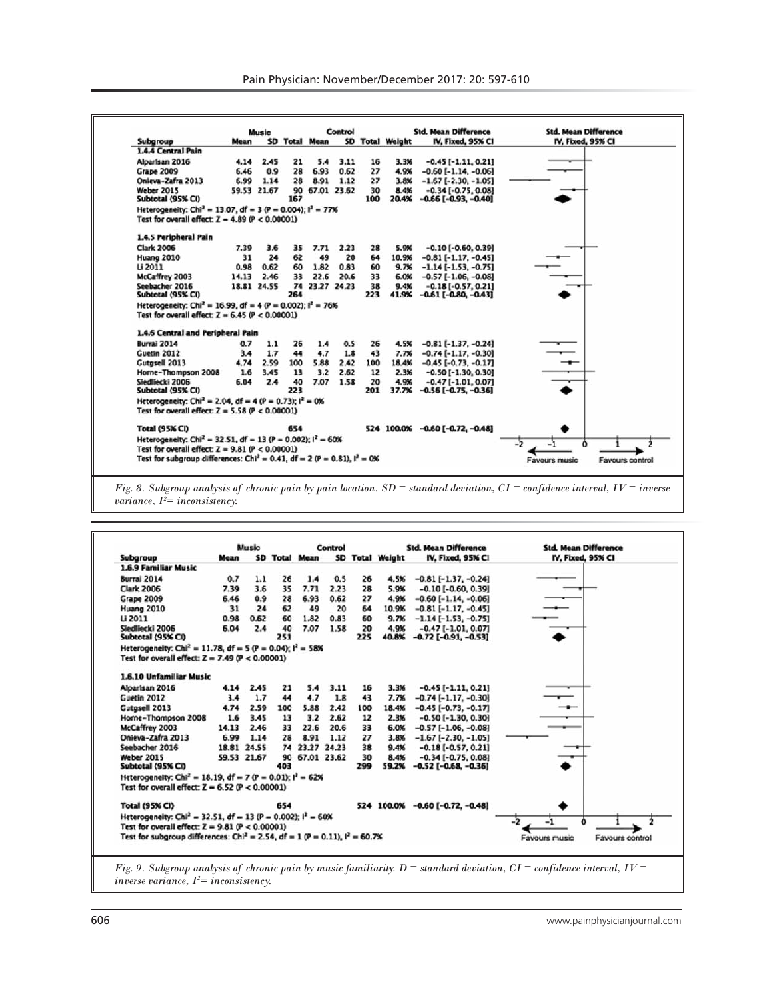|                                                                                        |       | Music       |     | Control              |      |     |                 | <b>Std. Mean Difference</b>     | <b>Std. Mean Difference</b>      |  |
|----------------------------------------------------------------------------------------|-------|-------------|-----|----------------------|------|-----|-----------------|---------------------------------|----------------------------------|--|
| Subgroup                                                                               | Mean  |             |     | <b>SD Total Mean</b> |      |     | SD Total Weight | IV, Fixed, 95% CI               | IV, Fixed, 95% CI                |  |
| 1.4.4 Central Pain                                                                     |       |             |     |                      |      |     |                 |                                 |                                  |  |
| Alparisan 2016                                                                         | 4.14  | 2.45        | 21  | 5.4                  | 3.11 | 16  | 3.3%            | $-0.45$ [ $-1.11$ , 0.21]       |                                  |  |
| <b>Grape 2009</b>                                                                      | 6.46  | 0.9         | 28  | 6.93                 | 0.62 | 27  | 4.9%            | $-0.60$ [ $-1.14$ , $-0.06$ ]   |                                  |  |
| Onleva-Zafra 2013                                                                      | 6.99  | 1.14        | 28  | 8.91                 | 1.12 | 27  | 3.8%            | $-1.67$ [ $-2.30, -1.05$ ]      |                                  |  |
| <b>Weber 2015</b>                                                                      |       | 59.53 21.67 |     | 90 67.01 23.62       |      | 30  | 8.4%            | $-0.34[-0.75, 0.08]$            |                                  |  |
| Subtotal (95% CI)                                                                      |       |             | 167 |                      |      | 100 | 20.4%           | $-0.66$ [ $-0.93$ , $-0.40$ ]   |                                  |  |
| Heterogeneity: Chi <sup>2</sup> = 13.07, df = 3 (P = 0.004); $i^2 = 77\%$              |       |             |     |                      |      |     |                 |                                 |                                  |  |
| Test for overall effect: $Z = 4.89$ (P < 0.00001)                                      |       |             |     |                      |      |     |                 |                                 |                                  |  |
| 1.4.5 Peripheral Pain                                                                  |       |             |     |                      |      |     |                 |                                 |                                  |  |
| <b>Clark 2006</b>                                                                      | 7.39  | 3.6         | 35  | 7.71                 | 2.23 | 28  | 5.9%            | $-0.10$ [ $-0.60, 0.39$ ]       |                                  |  |
| Huang 2010                                                                             | 31    | 24          | 62  | 49                   | 20   | 64  | 10.9%           | $-0.81$ [ $-1.17$ , $-0.45$ ]   |                                  |  |
| Li 2011                                                                                | 0.98  | 0.62        | 60  | 1.82                 | 0.83 | 60  | 9.7%            | $-1.14[-1.53, -0.75]$           |                                  |  |
| McCaffrey 2003                                                                         | 14.13 | 2.46        | 33  | 22.6                 | 20.6 | 33  | 6.0%            | $-0.57$ [ $-1.06, -0.08$ ]      |                                  |  |
| Seebacher 2016                                                                         |       | 18.81 24.55 |     | 74 23.27 24.23       |      | 38  | 9.4%            | $-0.18[-0.57, 0.21]$            |                                  |  |
| Subtotal (95% CI)                                                                      |       |             | 264 |                      |      | 223 |                 | $41.9\% -0.61[-0.80, -0.43]$    |                                  |  |
| Heterogeneity: Chi <sup>2</sup> = 16.99, df = 4 (P = 0.002); l <sup>2</sup> = 76%      |       |             |     |                      |      |     |                 |                                 |                                  |  |
| Test for overall effect: $Z = 6.45$ (P < 0.00001)                                      |       |             |     |                      |      |     |                 |                                 |                                  |  |
| 1.4.6 Central and Peripheral Pain                                                      |       |             |     |                      |      |     |                 |                                 |                                  |  |
| Burrai 2014                                                                            | 0.7   | 1.1         | 26  | 1.4                  | 0.5  | 26  | 4.5%            | $-0.81$ [ $-1.37, -0.24$ ]      |                                  |  |
| Guetin 2012                                                                            | 3.4   | 1.7         | 44  | 4.7                  | 1.8  | 43  | 7.7%            | $-0.74$ [ $-1.17, -0.30$ ]      |                                  |  |
| Gutgsell 2013                                                                          | 4.74  | 2.59        | 100 | 5.88                 | 2.42 | 100 | 18.4%           | $-0.45[-0.73, -0.17]$           |                                  |  |
| Horne-Thompson 2008                                                                    | 1.6   | 3.45        | 13  | 3.2                  | 2.62 | 12  | 2.3%            | $-0.50$ [ $-1.30$ , 0.30]       |                                  |  |
| Siedliecki 2006                                                                        | 6.04  | 2.4         | 40  | 7.07                 | 1.58 | 20  | 4.9%            | $-0.47[-1.01, 0.07]$            |                                  |  |
| Subtotal (95% CI)                                                                      |       |             | 223 |                      |      | 201 |                 | 37.7% -0.56 [-0.75, -0.36]      |                                  |  |
| Heterogeneity: Chi <sup>2</sup> = 2.04, df = 4 (P = 0.73); $I^2 = 0$ %                 |       |             |     |                      |      |     |                 |                                 |                                  |  |
| Test for overall effect: $Z = 5.58$ ( $P < 0.00001$ )                                  |       |             |     |                      |      |     |                 |                                 |                                  |  |
| Total (95% CI)                                                                         |       |             | 654 |                      |      |     |                 | 524 100.0% -0.60 [-0.72, -0.48] |                                  |  |
| Heterogeneity: Chi <sup>2</sup> = 32.51, df = 13 (P = 0.002); $I^2$ = 60%              |       |             |     |                      |      |     |                 |                                 |                                  |  |
| Test for overall effect: $Z = 9.81$ ( $P < 0.00001$ )                                  |       |             |     |                      |      |     |                 |                                 |                                  |  |
| Test for subgroup differences: Chi <sup>2</sup> = 0.41, df = 2 (P = 0.81), $I^2 = 0$ % |       |             |     |                      |      |     |                 |                                 | Favours music<br>Favours control |  |

*Fig. 8. Subgroup analysis of chronic pain by pain location. SD = standard deviation, CI = confidence interval, IV = inverse variance, I2 = inconsistency.*

| Subgroup<br>Mean<br>1.6.9 Familiar Music<br>Burrai 2014<br><b>Clark 2006</b><br>7.39<br>6.46<br>Grape 2009<br>Huang 2010<br>Li 2011<br>0.98<br>Siedliecki 2006<br>6.04<br>Subtotal (95% CI)<br>Heterogeneity: Chi <sup>2</sup> = 11.78, df = 5 (P = 0.04); $I^2$ = 58%<br>Test for overall effect: $Z = 7.49$ ( $P < 0.00001$ )<br>1.6.10 Unfamiliar Music<br>Alparisan 2016<br>Guetin 2012<br>Gutasell 2013<br>4.74 | 0.7<br>1.1<br>3.6<br>0.9<br>31<br>24<br>0.62<br>2.4<br>2.45<br>4.14<br>1.7<br>3.4 | 26<br>35<br>28<br>62<br>60<br>40<br>251<br>21<br>44 | <b>SD Total Mean</b><br>1.4<br>7.71<br>6.93<br>49<br>1.82<br>7.07<br>5.4 | 0.5<br>2.23<br>0.62<br>20<br>0.83<br>1.58<br>3.11 | 26<br>28<br>27<br>64<br>60<br>20<br>225<br>16 | SD Total Weight<br>4.5%<br>5.9%<br>4.9%<br>10.9%<br>9.7%<br>4.9%<br>40.8% | IV, Fixed, 95% CI<br>$-0.81[-1.37, -0.24]$<br>$-0.10$ [ $-0.60, 0.39$ ]<br>$-0.60$ [ $-1.14$ , $-0.06$ ]<br>$-0.81$ [ $-1.17, -0.45$ ]<br>$-1.14[-1.53, -0.75]$<br>$-0.47[-1.01, 0.07]$<br>$-0.72$ [ $-0.91, -0.53$ ] | IV, Fixed, 95% CI                |
|----------------------------------------------------------------------------------------------------------------------------------------------------------------------------------------------------------------------------------------------------------------------------------------------------------------------------------------------------------------------------------------------------------------------|-----------------------------------------------------------------------------------|-----------------------------------------------------|--------------------------------------------------------------------------|---------------------------------------------------|-----------------------------------------------|---------------------------------------------------------------------------|-----------------------------------------------------------------------------------------------------------------------------------------------------------------------------------------------------------------------|----------------------------------|
|                                                                                                                                                                                                                                                                                                                                                                                                                      |                                                                                   |                                                     |                                                                          |                                                   |                                               |                                                                           |                                                                                                                                                                                                                       |                                  |
|                                                                                                                                                                                                                                                                                                                                                                                                                      |                                                                                   |                                                     |                                                                          |                                                   |                                               |                                                                           |                                                                                                                                                                                                                       |                                  |
|                                                                                                                                                                                                                                                                                                                                                                                                                      |                                                                                   |                                                     |                                                                          |                                                   |                                               |                                                                           |                                                                                                                                                                                                                       |                                  |
|                                                                                                                                                                                                                                                                                                                                                                                                                      |                                                                                   |                                                     |                                                                          |                                                   |                                               |                                                                           |                                                                                                                                                                                                                       |                                  |
|                                                                                                                                                                                                                                                                                                                                                                                                                      |                                                                                   |                                                     |                                                                          |                                                   |                                               |                                                                           |                                                                                                                                                                                                                       |                                  |
|                                                                                                                                                                                                                                                                                                                                                                                                                      |                                                                                   |                                                     |                                                                          |                                                   |                                               |                                                                           |                                                                                                                                                                                                                       |                                  |
|                                                                                                                                                                                                                                                                                                                                                                                                                      |                                                                                   |                                                     |                                                                          |                                                   |                                               |                                                                           |                                                                                                                                                                                                                       |                                  |
|                                                                                                                                                                                                                                                                                                                                                                                                                      |                                                                                   |                                                     |                                                                          |                                                   |                                               |                                                                           |                                                                                                                                                                                                                       |                                  |
|                                                                                                                                                                                                                                                                                                                                                                                                                      |                                                                                   |                                                     |                                                                          |                                                   |                                               |                                                                           |                                                                                                                                                                                                                       |                                  |
|                                                                                                                                                                                                                                                                                                                                                                                                                      |                                                                                   |                                                     |                                                                          |                                                   |                                               |                                                                           |                                                                                                                                                                                                                       |                                  |
|                                                                                                                                                                                                                                                                                                                                                                                                                      |                                                                                   |                                                     |                                                                          |                                                   |                                               |                                                                           |                                                                                                                                                                                                                       |                                  |
|                                                                                                                                                                                                                                                                                                                                                                                                                      |                                                                                   |                                                     |                                                                          |                                                   |                                               |                                                                           |                                                                                                                                                                                                                       |                                  |
|                                                                                                                                                                                                                                                                                                                                                                                                                      |                                                                                   |                                                     |                                                                          |                                                   |                                               | 3.3%                                                                      | $-0.45$ [ $-1.11$ , 0.21]                                                                                                                                                                                             |                                  |
|                                                                                                                                                                                                                                                                                                                                                                                                                      |                                                                                   |                                                     | 4.7                                                                      | 1.8                                               | 43                                            | 7.7%                                                                      | $-0.74$ [ $-1.17, -0.30$ ]                                                                                                                                                                                            |                                  |
|                                                                                                                                                                                                                                                                                                                                                                                                                      | 2.59                                                                              | 100                                                 | 5.88                                                                     | 2.42                                              | 100                                           | 18.4%                                                                     | $-0.45[-0.73, -0.17]$                                                                                                                                                                                                 |                                  |
| Horne-Thompson 2008                                                                                                                                                                                                                                                                                                                                                                                                  | 1.6<br>3.45                                                                       | 13                                                  | 3.2                                                                      | 2.62                                              | 12                                            | 2.3%                                                                      | $-0.50$ [ $-1.30$ , 0.30]                                                                                                                                                                                             |                                  |
| McCaffrey 2003<br>14.13                                                                                                                                                                                                                                                                                                                                                                                              | 2.46                                                                              | 33                                                  | 22.6                                                                     | 20.6                                              | 33                                            | 6.0%                                                                      | $-0.57$ [ $-1.06$ , $-0.08$ ]                                                                                                                                                                                         |                                  |
| Onieva-Zafra 2013<br>6.99                                                                                                                                                                                                                                                                                                                                                                                            | 1.14                                                                              | 28                                                  | 8.91                                                                     | 1.12                                              | 27                                            | 3.8%                                                                      | $-1.67$ [ $-2.30, -1.05$ ]                                                                                                                                                                                            |                                  |
| Seebacher 2016                                                                                                                                                                                                                                                                                                                                                                                                       | 18.81 24.55                                                                       |                                                     |                                                                          | 74 23.27 24.23                                    | 38                                            | 9.4%                                                                      | $-0.18[-0.57, 0.21]$                                                                                                                                                                                                  |                                  |
| Weber 2015                                                                                                                                                                                                                                                                                                                                                                                                           | 59.53 21.67                                                                       | 90                                                  |                                                                          | 67.01 23.62                                       | 30                                            | 8.4%                                                                      | $-0.34$ [ $-0.75$ , 0.08]                                                                                                                                                                                             |                                  |
| Subtotal (95% CI)                                                                                                                                                                                                                                                                                                                                                                                                    |                                                                                   | 403                                                 |                                                                          |                                                   | 299                                           | 59.2%                                                                     | $-0.52$ [ $-0.68$ , $-0.36$ ]                                                                                                                                                                                         |                                  |
| Heterogeneity: Chi <sup>2</sup> = 18.19, df = 7 (P = 0.01); $I^2 = 62%$                                                                                                                                                                                                                                                                                                                                              |                                                                                   |                                                     |                                                                          |                                                   |                                               |                                                                           |                                                                                                                                                                                                                       |                                  |
| Test for overall effect: $Z = 6.52 (P < 0.00001)$                                                                                                                                                                                                                                                                                                                                                                    |                                                                                   |                                                     |                                                                          |                                                   |                                               |                                                                           |                                                                                                                                                                                                                       |                                  |
| <b>Total (95% CI)</b>                                                                                                                                                                                                                                                                                                                                                                                                |                                                                                   | 654                                                 |                                                                          |                                                   |                                               |                                                                           | 524 100.0% -0.60 [-0.72, -0.48]                                                                                                                                                                                       |                                  |
| Heterogeneity: Chi <sup>2</sup> = 32.51, df = 13 (P = 0.002); $I^2$ = 60%                                                                                                                                                                                                                                                                                                                                            |                                                                                   |                                                     |                                                                          |                                                   |                                               |                                                                           |                                                                                                                                                                                                                       |                                  |
| Test for overall effect: $Z = 9.81$ ( $P < 0.00001$ )                                                                                                                                                                                                                                                                                                                                                                |                                                                                   |                                                     |                                                                          |                                                   |                                               |                                                                           |                                                                                                                                                                                                                       |                                  |
| Test for subgroup differences: Chi <sup>2</sup> = 2.54, df = $10^p$ = 0.11), $I^2$ = 60.7%                                                                                                                                                                                                                                                                                                                           |                                                                                   |                                                     |                                                                          |                                                   |                                               |                                                                           |                                                                                                                                                                                                                       | Favours music<br>Favours control |
|                                                                                                                                                                                                                                                                                                                                                                                                                      |                                                                                   |                                                     |                                                                          |                                                   |                                               |                                                                           |                                                                                                                                                                                                                       |                                  |

*inverse variance, I2 = inconsistency.*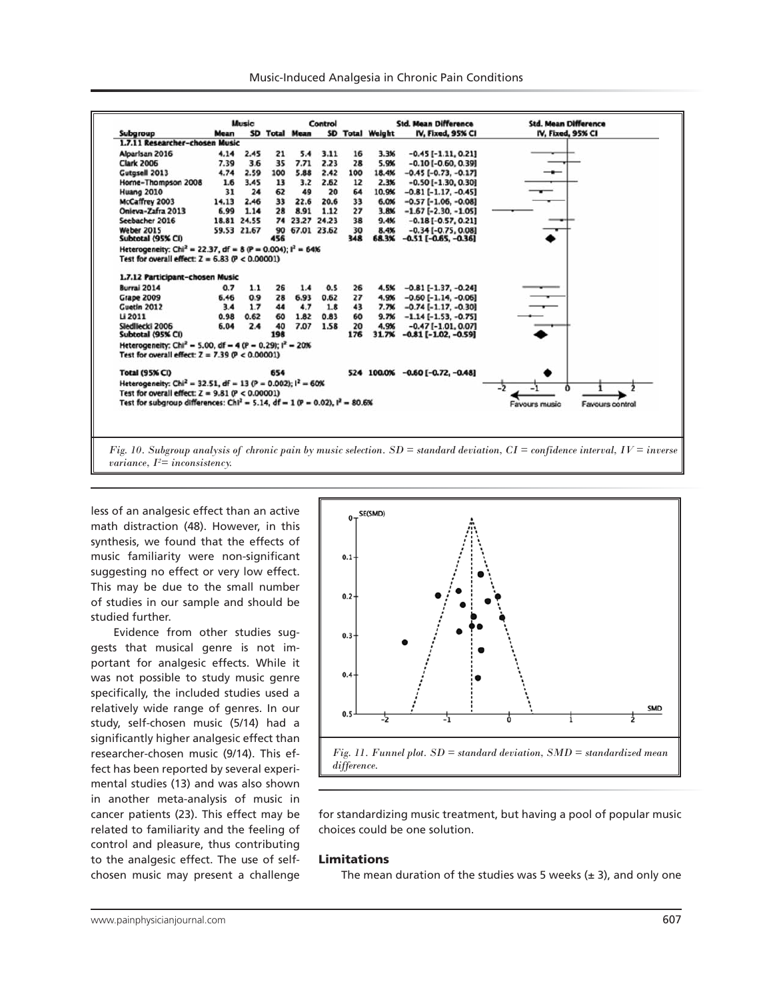|                                                                                                                                      |       | Music       |           |                      | Control     |           |                        | <b>Std. Mean Difference</b>                        | <b>Std. Mean Difference</b>      |
|--------------------------------------------------------------------------------------------------------------------------------------|-------|-------------|-----------|----------------------|-------------|-----------|------------------------|----------------------------------------------------|----------------------------------|
| Subgroup                                                                                                                             | Mean  |             |           | <b>SD Total Mean</b> |             |           | <b>SD Total Weight</b> | IV, Fixed, 95% CI                                  | IV, Fixed, 95% CI                |
| 1.7.11 Researcher-chosen Music                                                                                                       |       |             |           |                      |             |           |                        |                                                    |                                  |
| Alparisan 2016                                                                                                                       | 4.14  | 2.45        | 21        | 5.4                  | 3.11        | 16        | 3.3%                   | $-0.45$ [ $-1.11, 0.21$ ]                          |                                  |
| <b>Clark 2006</b>                                                                                                                    | 7.39  | 3.6         | 35        | 7.71                 | 2.23        | 28        | 5.9%                   | $-0.10$ [ $-0.60, 0.39$ ]                          |                                  |
| Gutgsell 2013                                                                                                                        | 4.74  | 2.59        | 100       | 5.88                 | 2.42        | 100       | 18.4%                  | $-0.45[-0.73, -0.17]$                              |                                  |
| Horne-Thompson 2008                                                                                                                  | 1.6   | 3.45        | 13        | 3.2                  | 2.62        | 12        | 2.3%                   | $-0.50$ [ $-1.30$ , 0.30]                          |                                  |
| <b>Huang 2010</b>                                                                                                                    | 31    | 24          | 62        | 49                   | 20          | 64        | 10.9%                  | $-0.81$ [ $-1.17, -0.45$ ]                         |                                  |
| McCaffrey 2003                                                                                                                       | 14.13 | 2.46        | 33        | 22.6                 | 20.6        | 33        | 6.0%                   | $-0.57$ [ $-1.06, -0.08$ ]                         |                                  |
| Onieva-Zafra 2013                                                                                                                    | 6.99  | 1.14        | 28        | 8.91                 | 1.12        | 27        | 3.8%                   | $-1.67$ [-2.30, -1.05]                             |                                  |
| Seebacher 2016                                                                                                                       |       | 18.81 24.55 | 74        |                      | 23.27 24.23 | 38        | 9.4%                   | $-0.18[-0.57, 0.21]$                               |                                  |
| Weber 2015                                                                                                                           |       | 59.53 21.67 | 90        | 67.01 23.62          |             | 30        | 8.4%                   | $-0.34$ [ $-0.75, 0.08$ ]                          |                                  |
| Subtotal (95% CI)                                                                                                                    |       |             | 456       |                      |             | 348       | 68.3%                  | $-0.51$ [ $-0.65, -0.36$ ]                         |                                  |
| Heterogeneity: Chi <sup>2</sup> = 22.37, df = 8 (P = 0.004); $I^2 = 64\%$<br>Test for overall effect: $Z = 6.83$ ( $P < 0.00001$ )   |       |             |           |                      |             |           |                        |                                                    |                                  |
| 1.7.12 Participant-chosen Music                                                                                                      |       |             |           |                      |             |           |                        |                                                    |                                  |
| Burrai 2014                                                                                                                          | 0.7   | 1.1         | 26        | 1.4                  | 0.5         | 26        | 4.5%                   | $-0.81$ [ $-1.37, -0.24$ ]                         |                                  |
| <b>Grape 2009</b>                                                                                                                    | 6.46  | 0.9         | 28        | 6.93                 | 0.62        | 27        | 4.9%                   | $-0.60$ [ $-1.14, -0.06$ ]                         |                                  |
| Guetin 2012                                                                                                                          | 3.4   | 1.7         | 44        | 4.7                  | 1.8         | 43        | 7.7%                   | $-0.74$ [ $-1.17, -0.30$ ]                         |                                  |
| Li 2011                                                                                                                              | 0.98  | 0.62        | 60        | 1.82                 | 0.83        | 60        | 9.7%                   | $-1.14$ [ $-1.53$ , $-0.75$ ]                      |                                  |
| Siedliecki 2006<br>Subtotal (95% CI)                                                                                                 | 6.04  | 2.4         | 40<br>198 | 7.07                 | 1.58        | 20<br>176 | 4.9%<br>31.7%          | $-0.47[-1.01, 0.07]$<br>$-0.81$ [ $-1.02, -0.59$ ] |                                  |
| Heterogeneity: Chi <sup>2</sup> = 5.00, df = 4 (P = 0.29); $I^2$ = 20%<br>Test for overall effect: $Z = 7.39$ ( $P < 0.00001$ )      |       |             |           |                      |             |           |                        |                                                    |                                  |
| <b>Total (95% CI)</b>                                                                                                                |       |             | 654       |                      |             |           |                        | 524 100.0% -0.60 [-0.72, -0.48]                    |                                  |
| Heterogeneity: Chi <sup>2</sup> = 32.51, df = 13 (P = 0.002); $I^2 = 60%$<br>Test for overall effect: $Z = 9.81$ (P < 0.00001)       |       |             |           |                      |             |           |                        |                                                    | -2                               |
| Test for subgroup differences: $Chl^2 = 5.14$ , df = 1 (P = 0.02), $l^2 = 80.6%$                                                     |       |             |           |                      |             |           |                        |                                                    | Favours music<br>Favours control |
|                                                                                                                                      |       |             |           |                      |             |           |                        |                                                    |                                  |
| Fig. 10. Subgroup analysis of chronic pain by music selection. $SD =$ standard deviation, $CI =$ confidence interval, $IV =$ inverse |       |             |           |                      |             |           |                        |                                                    |                                  |

*variance, I2 = inconsistency.*

less of an analgesic effect than an active math distraction (48). However, in this synthesis, we found that the effects of music familiarity were non-significant suggesting no effect or very low effect. This may be due to the small number of studies in our sample and should be studied further.

Evidence from other studies suggests that musical genre is not important for analgesic effects. While it was not possible to study music genre specifically, the included studies used a relatively wide range of genres. In our study, self-chosen music (5/14) had a significantly higher analgesic effect than researcher-chosen music (9/14). This effect has been reported by several experimental studies (13) and was also shown in another meta-analysis of music in cancer patients (23). This effect may be related to familiarity and the feeling of control and pleasure, thus contributing to the analgesic effect. The use of selfchosen music may present a challenge



for standardizing music treatment, but having a pool of popular music choices could be one solution.

#### Limitations

The mean duration of the studies was 5 weeks  $(\pm 3)$ , and only one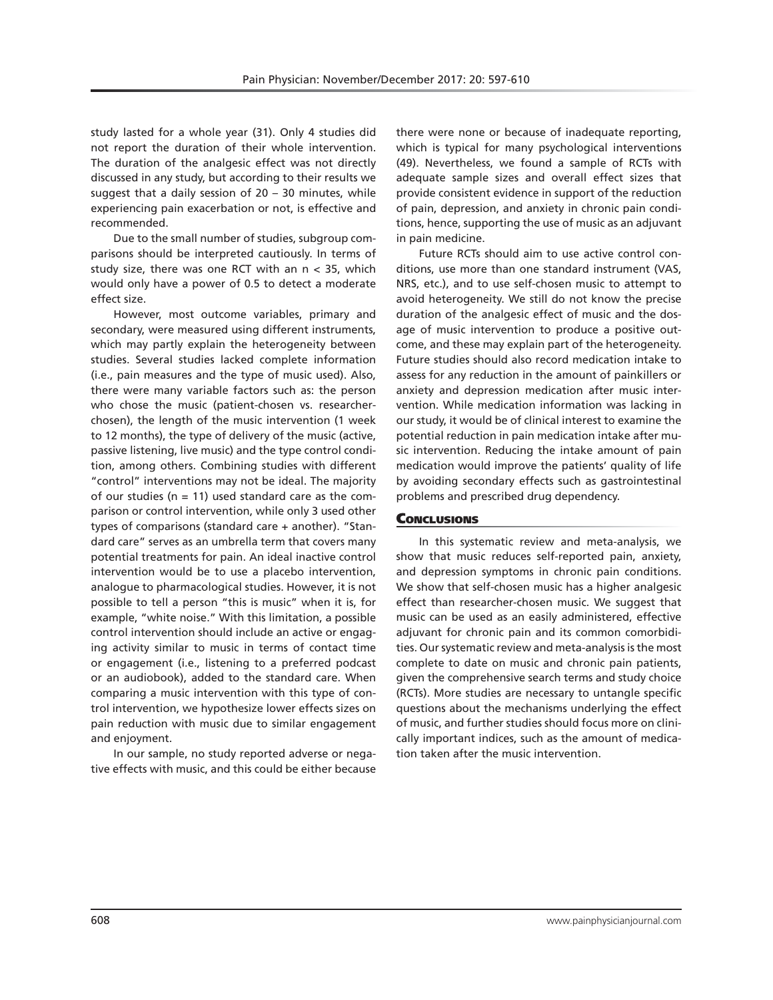study lasted for a whole year (31). Only 4 studies did not report the duration of their whole intervention. The duration of the analgesic effect was not directly discussed in any study, but according to their results we suggest that a daily session of 20 – 30 minutes, while experiencing pain exacerbation or not, is effective and recommended.

Due to the small number of studies, subgroup comparisons should be interpreted cautiously. In terms of study size, there was one RCT with an n < 35, which would only have a power of 0.5 to detect a moderate effect size.

However, most outcome variables, primary and secondary, were measured using different instruments, which may partly explain the heterogeneity between studies. Several studies lacked complete information (i.e., pain measures and the type of music used). Also, there were many variable factors such as: the person who chose the music (patient-chosen vs. researcherchosen), the length of the music intervention (1 week to 12 months), the type of delivery of the music (active, passive listening, live music) and the type control condition, among others. Combining studies with different "control" interventions may not be ideal. The majority of our studies ( $n = 11$ ) used standard care as the comparison or control intervention, while only 3 used other types of comparisons (standard care + another). "Standard care" serves as an umbrella term that covers many potential treatments for pain. An ideal inactive control intervention would be to use a placebo intervention, analogue to pharmacological studies. However, it is not possible to tell a person "this is music" when it is, for example, "white noise." With this limitation, a possible control intervention should include an active or engaging activity similar to music in terms of contact time or engagement (i.e., listening to a preferred podcast or an audiobook), added to the standard care. When comparing a music intervention with this type of control intervention, we hypothesize lower effects sizes on pain reduction with music due to similar engagement and enjoyment.

In our sample, no study reported adverse or negative effects with music, and this could be either because there were none or because of inadequate reporting, which is typical for many psychological interventions (49). Nevertheless, we found a sample of RCTs with adequate sample sizes and overall effect sizes that provide consistent evidence in support of the reduction of pain, depression, and anxiety in chronic pain conditions, hence, supporting the use of music as an adjuvant in pain medicine.

Future RCTs should aim to use active control conditions, use more than one standard instrument (VAS, NRS, etc.), and to use self-chosen music to attempt to avoid heterogeneity. We still do not know the precise duration of the analgesic effect of music and the dosage of music intervention to produce a positive outcome, and these may explain part of the heterogeneity. Future studies should also record medication intake to assess for any reduction in the amount of painkillers or anxiety and depression medication after music intervention. While medication information was lacking in our study, it would be of clinical interest to examine the potential reduction in pain medication intake after music intervention. Reducing the intake amount of pain medication would improve the patients' quality of life by avoiding secondary effects such as gastrointestinal problems and prescribed drug dependency.

# **CONCLUSIONS**

In this systematic review and meta-analysis, we show that music reduces self-reported pain, anxiety, and depression symptoms in chronic pain conditions. We show that self-chosen music has a higher analgesic effect than researcher-chosen music. We suggest that music can be used as an easily administered, effective adjuvant for chronic pain and its common comorbidities. Our systematic review and meta-analysis is the most complete to date on music and chronic pain patients, given the comprehensive search terms and study choice (RCTs). More studies are necessary to untangle specific questions about the mechanisms underlying the effect of music, and further studies should focus more on clinically important indices, such as the amount of medication taken after the music intervention.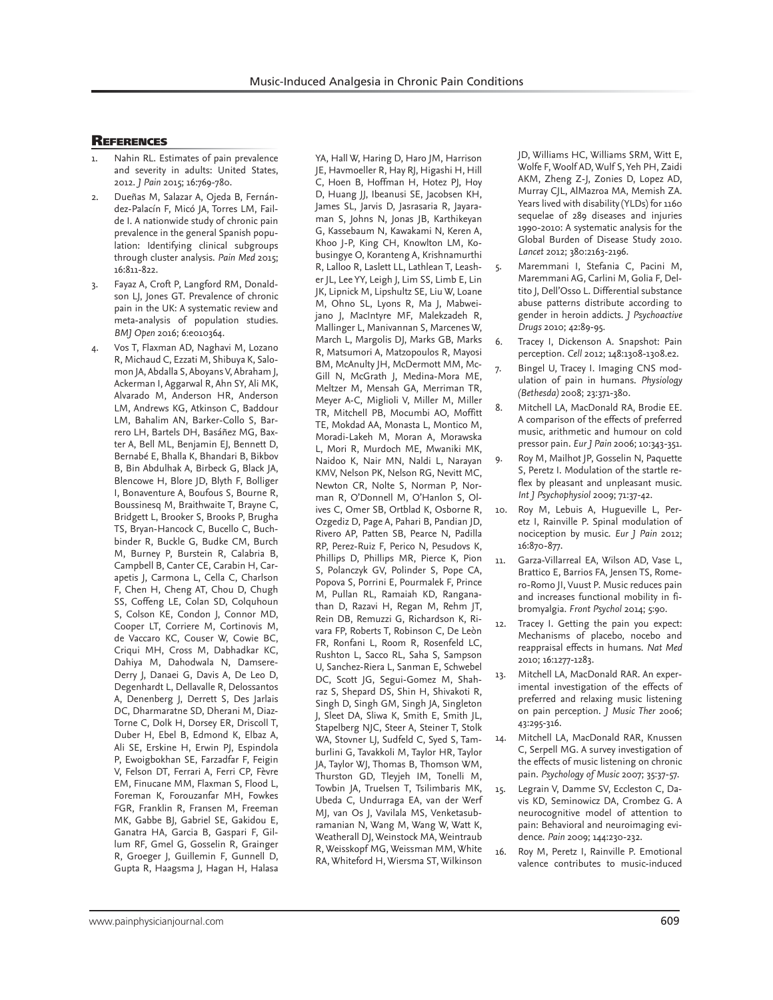# **REFERENCES**

- Nahin RL. Estimates of pain prevalence and severity in adults: United States, 2012. *J Pain* 2015; 16:769-780.
- 2. Dueñas M, Salazar A, Ojeda B, Fernández-Palacín F, Micó JA, Torres LM, Failde I. A nationwide study of chronic pain prevalence in the general Spanish population: Identifying clinical subgroups through cluster analysis. *Pain Med* 2015; 16:811-822.
- Fayaz A, Croft P, Langford RM, Donaldson LJ, Jones GT. Prevalence of chronic pain in the UK: A systematic review and meta-analysis of population studies. *BMJ Open* 2016; 6:e010364.
- 4. Vos T, Flaxman AD, Naghavi M, Lozano R, Michaud C, Ezzati M, Shibuya K, Salomon JA, Abdalla S, Aboyans V, Abraham J, Ackerman I, Aggarwal R, Ahn SY, Ali MK, Alvarado M, Anderson HR, Anderson LM, Andrews KG, Atkinson C, Baddour LM, Bahalim AN, Barker-Collo S, Barrero LH, Bartels DH, Basáñez MG, Baxter A, Bell ML, Benjamin EJ, Bennett D, Bernabé E, Bhalla K, Bhandari B, Bikbov B, Bin Abdulhak A, Birbeck G, Black JA, Blencowe H, Blore JD, Blyth F, Bolliger I, Bonaventure A, Boufous S, Bourne R, Boussinesq M, Braithwaite T, Brayne C, Bridgett L, Brooker S, Brooks P, Brugha TS, Bryan-Hancock C, Bucello C, Buchbinder R, Buckle G, Budke CM, Burch M, Burney P, Burstein R, Calabria B, Campbell B, Canter CE, Carabin H, Carapetis J, Carmona L, Cella C, Charlson F, Chen H, Cheng AT, Chou D, Chugh SS, Coffeng LE, Colan SD, Colquhoun S, Colson KE, Condon J, Connor MD, Cooper LT, Corriere M, Cortinovis M, de Vaccaro KC, Couser W, Cowie BC, Criqui MH, Cross M, Dabhadkar KC, Dahiya M, Dahodwala N, Damsere-Derry J, Danaei G, Davis A, De Leo D, Degenhardt L, Dellavalle R, Delossantos A, Denenberg J, Derrett S, Des Jarlais DC, Dharmaratne SD, Dherani M, Diaz-Torne C, Dolk H, Dorsey ER, Driscoll T, Duber H, Ebel B, Edmond K, Elbaz A, Ali SE, Erskine H, Erwin PJ, Espindola P, Ewoigbokhan SE, Farzadfar F, Feigin V, Felson DT, Ferrari A, Ferri CP, Fèvre EM, Finucane MM, Flaxman S, Flood L, Foreman K, Forouzanfar MH, Fowkes FGR, Franklin R, Fransen M, Freeman MK, Gabbe BJ, Gabriel SE, Gakidou E, Ganatra HA, Garcia B, Gaspari F, Gillum RF, Gmel G, Gosselin R, Grainger R, Groeger J, Guillemin F, Gunnell D, Gupta R, Haagsma J, Hagan H, Halasa

YA, Hall W, Haring D, Haro JM, Harrison JE, Havmoeller R, Hay RJ, Higashi H, Hill C, Hoen B, Hoffman H, Hotez PJ, Hoy D, Huang JJ, Ibeanusi SE, Jacobsen KH, James SL, Jarvis D, Jasrasaria R, Jayaraman S, Johns N, Jonas JB, Karthikeyan G, Kassebaum N, Kawakami N, Keren A, Khoo J-P, King CH, Knowlton LM, Kobusingye O, Koranteng A, Krishnamurthi R, Lalloo R, Laslett LL, Lathlean T, Leasher JL, Lee YY, Leigh J, Lim SS, Limb E, Lin JK, Lipnick M, Lipshultz SE, Liu W, Loane M, Ohno SL, Lyons R, Ma J, Mabweijano J, MacIntyre MF, Malekzadeh R, Mallinger L, Manivannan S, Marcenes W, March L, Margolis DJ, Marks GB, Marks R, Matsumori A, Matzopoulos R, Mayosi BM, McAnulty JH, McDermott MM, Mc-Gill N, McGrath J, Medina-Mora ME, Meltzer M, Mensah GA, Merriman TR, Meyer A-C, Miglioli V, Miller M, Miller TR, Mitchell PB, Mocumbi AO, Moffitt TE, Mokdad AA, Monasta L, Montico M, Moradi-Lakeh M, Moran A, Morawska L, Mori R, Murdoch ME, Mwaniki MK, Naidoo K, Nair MN, Naldi L, Narayan KMV, Nelson PK, Nelson RG, Nevitt MC, Newton CR, Nolte S, Norman P, Norman R, O'Donnell M, O'Hanlon S, Olives C, Omer SB, Ortblad K, Osborne R, Ozgediz D, Page A, Pahari B, Pandian JD, Rivero AP, Patten SB, Pearce N, Padilla RP, Perez-Ruiz F, Perico N, Pesudovs K, Phillips D, Phillips MR, Pierce K, Pion S, Polanczyk GV, Polinder S, Pope CA, Popova S, Porrini E, Pourmalek F, Prince M, Pullan RL, Ramaiah KD, Ranganathan D, Razavi H, Regan M, Rehm JT, Rein DB, Remuzzi G, Richardson K, Rivara FP, Roberts T, Robinson C, De Leòn FR, Ronfani L, Room R, Rosenfeld LC, Rushton L, Sacco RL, Saha S, Sampson U, Sanchez-Riera L, Sanman E, Schwebel DC, Scott JG, Segui-Gomez M, Shahraz S, Shepard DS, Shin H, Shivakoti R, Singh D, Singh GM, Singh JA, Singleton J, Sleet DA, Sliwa K, Smith E, Smith JL, Stapelberg NJC, Steer A, Steiner T, Stolk WA, Stovner LJ, Sudfeld C, Syed S, Tamburlini G, Tavakkoli M, Taylor HR, Taylor JA, Taylor WJ, Thomas B, Thomson WM, Thurston GD, Tleyjeh IM, Tonelli M, Towbin JA, Truelsen T, Tsilimbaris MK, Ubeda C, Undurraga EA, van der Werf MJ, van Os J, Vavilala MS, Venketasubramanian N, Wang M, Wang W, Watt K, Weatherall DJ, Weinstock MA, Weintraub R, Weisskopf MG, Weissman MM, White RA, Whiteford H, Wiersma ST, Wilkinson JD, Williams HC, Williams SRM, Witt E, Wolfe F, Woolf AD, Wulf S, Yeh PH, Zaidi AKM, Zheng Z-J, Zonies D, Lopez AD, Murray CJL, AlMazroa MA, Memish ZA. Years lived with disability (YLDs) for 1160 sequelae of 289 diseases and injuries 1990-2010: A systematic analysis for the Global Burden of Disease Study 2010. *Lancet* 2012; 380:2163-2196.

- 5. Maremmani I, Stefania C, Pacini M, Maremmani AG, Carlini M, Golia F, Deltito J, Dell'Osso L. Differential substance abuse patterns distribute according to gender in heroin addicts. *J Psychoactive Drugs* 2010; 42:89-95.
- 6. Tracey I, Dickenson A. Snapshot: Pain perception. *Cell* 2012; 148:1308-1308.e2.
	- Bingel U, Tracey I. Imaging CNS modulation of pain in humans. *Physiology (Bethesda)* 2008; 23:371-380.
- 8. Mitchell LA, MacDonald RA, Brodie EE. A comparison of the effects of preferred music, arithmetic and humour on cold pressor pain. *Eur J Pain* 2006; 10:343-351.
- 9. Roy M, Mailhot JP, Gosselin N, Paquette S, Peretz I. Modulation of the startle reflex by pleasant and unpleasant music. *Int J Psychophysiol* 2009; 71:37-42.
- 10. Roy M, Lebuis A, Hugueville L, Peretz I, Rainville P. Spinal modulation of nociception by music. *Eur J Pain* 2012; 16:870-877.
- 11. Garza-Villarreal EA, Wilson AD, Vase L, Brattico E, Barrios FA, Jensen TS, Romero-Romo JI, Vuust P. Music reduces pain and increases functional mobility in fibromyalgia. *Front Psychol* 2014; 5:90.
- 12. Tracey I. Getting the pain you expect: Mechanisms of placebo, nocebo and reappraisal effects in humans. *Nat Med* 2010; 16:1277-1283.
- 13. Mitchell LA, MacDonald RAR. An experimental investigation of the effects of preferred and relaxing music listening on pain perception. *J Music Ther* 2006; 43:295-316.
- 14. Mitchell LA, MacDonald RAR, Knussen C, Serpell MG. A survey investigation of the effects of music listening on chronic pain. *Psychology of Music* 2007; 35:37-57.
- 15. Legrain V, Damme SV, Eccleston C, Davis KD, Seminowicz DA, Crombez G. A neurocognitive model of attention to pain: Behavioral and neuroimaging evidence. *Pain* 2009; 144:230-232.
- 16. Roy M, Peretz I, Rainville P. Emotional valence contributes to music-induced